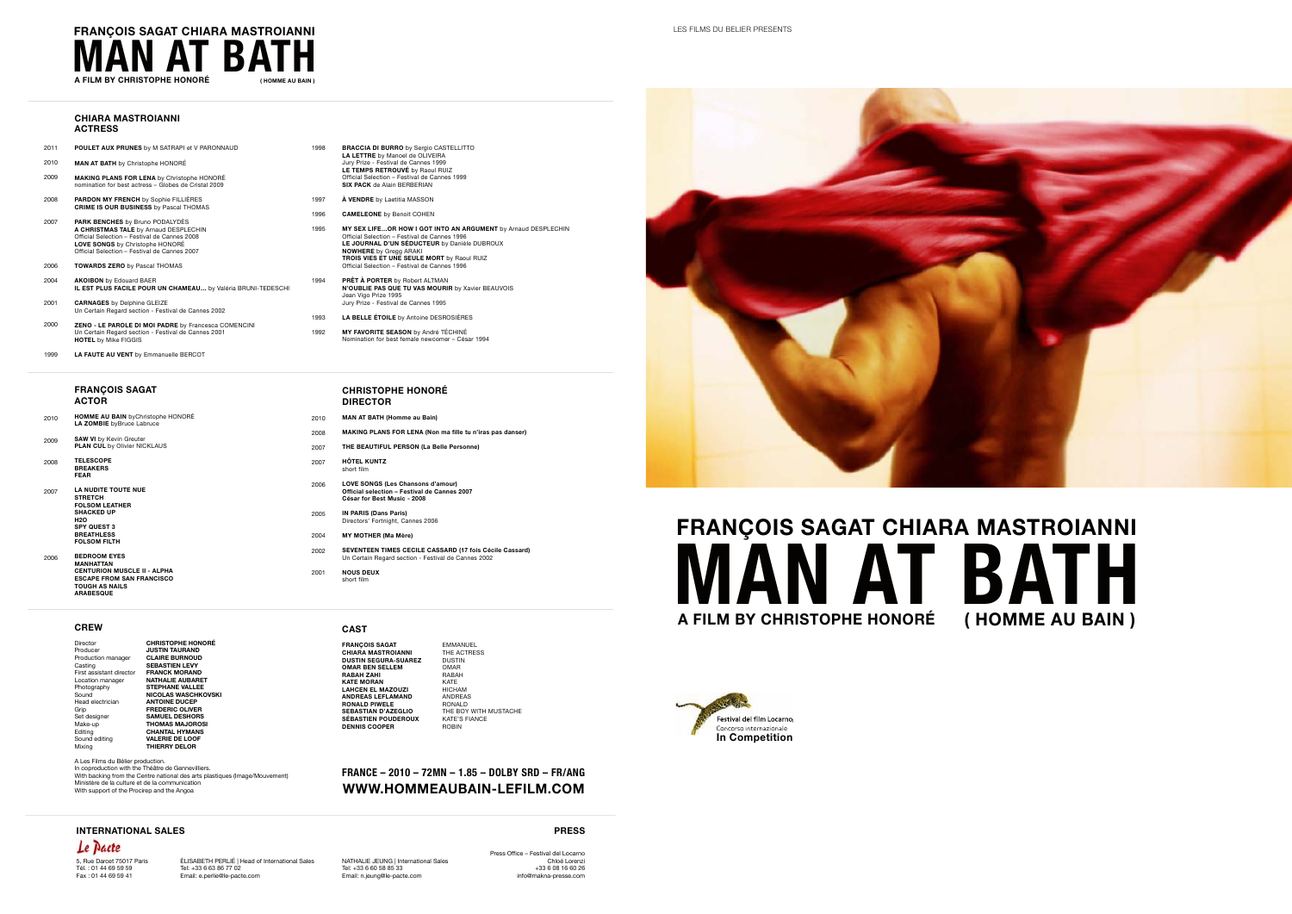#### **CHIARA MASTROIANNI ACTRESS**

- 2011 **POULET AUX PRUNES** by M SATRAPI et V PARONNAUD
- 2010 **MAN AT BATH** by Christophe HONORÉ
- 2009 **MAKING PLANS FOR LENA** by Christophe HONORÉ nomination for best actress – Globes de Cristal 2009
- 2008 **PARDON MY FRENCH** by Sophie FILLIÈRES **CRIME IS OUR BUSINESS** by Pascal THOMAS
- 2007 **PARK BENCHES** by Bruno PODALYDÈS **A CHRISTMAS TALE** by Arnaud DESPLECHIN Official Selection – Festival de Cannes 2008 **LOVE SONGS** by Christophe HONORÉ Official Selection – Festival de Cannes 2007
- 2006 **TOWARDS ZERO** by Pascal THOMAS
- 2004 **AKOIBON** by Edouard BAER **IL EST PLUS FACILE POUR UN CHAMEAU…** by Valéria BRUNI-TEDESCHI
- 2001 **CARNAGES** by Delphine GLEIZE Un Certain Regard section - Festival de Cannes 2002
- 2000 **ZENO - LE PAROLE DI MOI PADRE** by Francesca COMENCINI Un Certain Regard section - Festival de Cannes 2001 **HOTEL** by Mike FIGGIS
- 1999 **LA FAUTE AU VENT** by Emmanuelle BERCOT

#### **FRANÇOIS SAGAT ACTOR**

- 2010 **HOMME AU BAIN** byChristophe HONORÉ **LA ZOMBIE** byBruce Labruce
- 2009 **SAW VI** by Kevin Greuter **PLAN CUL by Olivier NICKLAUS**
- 2008 **TELESCOPE BREAKERS FEAR**
- 2007 **LA NUDITE TOUTE NUE STRETCH FOLSOM LEATHER SHACKED UP H2O SPY QUEST 3 BREATHLESS FOLSOM FILTH**
- 2006 **BEDROOM EYES MANHATTAN CENTURION MUSCLE II - ALPHA ESCAPE FROM SAN FRANCISCO TOUGH AS NAILS ARABESQUE**

#### **CREW**

Director **CHRISTOPHE HONORÉ** Producer **JUSTIN TAURAND** Production manager **CLAIRE BURNOUD** SEBASTIEN LEVY First assistant director<br>**Location** manager Location manager **NATHALIE AUBARET** Photography<br>Sound **Sound MICOLAS WASCHKOVSKI**<br>Sound **NICOLAS WASCHKOVSKI**<br>Head electrician **ANTOINE DUCEP** Head electrician **ANTOINE DUCEP Grip FREDERIC OLIVER**<br>
Grip **FREDERIC OLIVER**<br>
SAMUEL DESHORS Set designer **SAMUEL DESHORS**<br>Make-up **THOMAS MAJORO** Make-up **THOMAS MAJOROS**<br>
Fditing **THOMAS MAJOROS**<br>
Fditing **CHANTAL HYMANS** Make-up<br>
Editing **CHANTAL HYMANS**<br>
Sound editing **VALERIE DE LOOF Sound editing <b>VALERIE DE LOOF**<br>Mixing **THIERRY DELOR** Mixing **THIERRY DELOR**

A Les Films du Bélier production. In coproduction with the Théâtre de Gennevilliers. With backing from the Centre national des arts plastiques (Image/Mouvement) Ministère de la culture et de la communication With support of the Procirep and the Angoa

- 1998 **BRACCIA DI BURRO** by Sergio CASTELLITTO **LA LETTRE** by Manoel de OLIVEIRA Jury Prize - Festival de Cannes 1999 **LE TEMPS RETROUVÉ** by Raoul RUIZ Official Selection – Festival de Cannes 1999 **SIX PACK** de Alain BERBERIAN
- 1997 **À VENDRE** by Laetitia MASSON
- 1996 **CAMELEONE** by Benoit COHEN
- 1995 **MY SEX LIFE…OR HOW I GOT INTO AN ARGUMENT** by Arnaud DESPLECHIN Official Selection – Festival de Cannes 1996 **LE JOURNAL D'UN SÉDUCTEUR** by Danièle DUBROUX **NOWHERE** by Gregg ARAKI **TROIS VIES ET UNE SEULE MORT** by Raoul RUIZ Official Selection – Festival de Cannes 1996
- 1994 **PRÊT À PORTER** by Robert ALTMAN **N'OUBLIE PAS QUE TU VAS MOURIR** by Xavier BEAUVOIS Jean Vigo Prize 1995 Jury Prize - Festival de Cannes 1995
- 1993 **LA BELLE ÉTOILE** by Antoine DESROSIÈRES
- 1992 **MY FAVORITE SEASON** by André TÉCHINÉ Nomination for best female newcomer – César 1994
	- **CHRISTOPHE HONORÉ DIRECTOR**
- 2010 2008 **MAN AT BATH (Homme au Bain) MAKING PLANS FOR LENA (Non ma fille tu n'iras pas danser)**
- 2007 **THE BEAUTIFUL PERSON (La Belle Personne)**
- 2007 **HÔTEL KUNTZ**

short film

- 2006 **LOVE SONGS (Les Chansons d'amour) Official selection – Festival de Cannes 2007 César for Best Music - 2008**
- 2005 **IN PARIS (Dans Paris)** Directors' Fortnight, Cannes 2006
- 2004 **MY MOTHER (Ma Mère)**
- 2002 **SEVENTEEN TIMES CECILE CASSARD (17 fois Cécile Cassard)** Un Certain Regard section - Festival de Cannes 2002
- 2001 **NOUS DEUX** short film

#### **CAST**

**FRANÇOIS SAGAT** EMMANUEL **CHIARA MASTROIANNI** THE ACTRESS **DUSTIN SEGURA-SUAREZ** DUSTIN **OMAR BEN SELLEM** OMAR **RABAH ZAHI** RABAH **KATE MORAN** KATE **LAHCEN EL MAZOUZI** HICHAM **ANDREAS LEFLAMAND ANDREAS**<br> **RONALD PIWELE RONALD RONALD PIWELE** RONALD THE BOY WITH MUSTACHE<br>KATE'S FIANCE **SÉBASTIEN POUDEROUX** KATE'S FIANCE **DENNIS COOPER** ROBIN

## **FRANCE – 2010 – 72MN – 1.85 – DOLBY SRD – FR/ANG WWW.HOMMEAUBAIN-LEFILM.COM**



# **A FILM BY CHRISTOPHE HONORÉ FRANÇOIS SAGAT CHIARA MASTROIANNI MAN AT BATH ( HOMME AU BAIN )**



LES FILMS DU BELIER PRESENTS

Le Pacte 5, Rue Darcet 75017 Paris Tél. : 01 44 69 59 59 Fax : 01 44 69 59 41

**INTERNATIONAL SALES**

ÉLISABETH PERLIÉ | Head of International Sales Tel: +33 6 63 86 77 02 Email: e.perlie@le-pacte.com Tel: +33 6 60 58 85 33 Email: n.jeung@le-pacte.com

NATHALIE JEUNG | International Sales Press Office – Festival del Locarno +33 6 08 16 60 26 info@makna-presse.com

**PRESS** Chloé Lorenzi